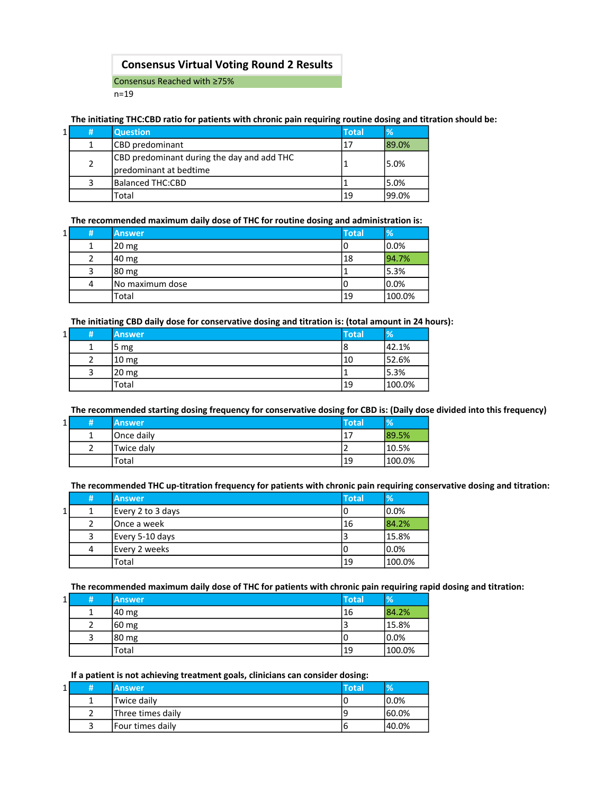## Consensus Virtual Voting Round 2 Results

Consensus Reached with ≥75%

n=19

#### The initiating THC:CBD ratio for patients with chronic pain requiring routine dosing and titration should be:

| 1 | # | <b>Question</b>                                                      | <b>Total</b> | $\%$  |
|---|---|----------------------------------------------------------------------|--------------|-------|
|   |   | CBD predominant                                                      | 17           | 89.0% |
|   |   | CBD predominant during the day and add THC<br>predominant at bedtime |              | 5.0%  |
|   |   | <b>Balanced THC:CBD</b>                                              |              | 5.0%  |
|   |   | Total                                                                | 19           | 99.0% |

The recommended maximum daily dose of THC for routine dosing and administration is:

| $1\vert$ | # | <b>Answer</b>    | <b>Total</b> | $\frac{9}{6}$ |
|----------|---|------------------|--------------|---------------|
|          |   | 20 <sub>mg</sub> | υ            | 0.0%          |
|          |   | 40 mg            | 18           | 94.7%         |
|          |   | 80 mg            |              | 5.3%          |
|          | 4 | No maximum dose  | U            | 0.0%          |
|          |   | Total            | 19           | 100.0%        |

The initiating CBD daily dose for conservative dosing and titration is: (total amount in 24 hours):

| $1\vert$ | # | <b>Answer</b>    | <b>Total</b> | $\frac{9}{6}$ |
|----------|---|------------------|--------------|---------------|
|          |   | 5 <sub>mg</sub>  | 18           | 42.1%         |
|          |   | 10 <sub>mg</sub> | 10           | 52.6%         |
|          |   | 20 mg            |              | 5.3%          |
|          |   | Total            | <b>19</b>    | 100.0%        |

The recommended starting dosing frequency for conservative dosing for CBD is: (Daily dose divided into this frequency)

| 1 | <b>Answer</b> | <b>Total</b> | $\frac{9}{6}$ |
|---|---------------|--------------|---------------|
|   | Once daily    | -17          | 89.5%         |
|   | Twice daly    |              | 10.5%         |
|   | Total         | 19           | 100.0%        |

The recommended THC up-titration frequency for patients with chronic pain requiring conservative dosing and titration:

|   | # | <b>Answer</b>     | <b>Total</b> | %      |
|---|---|-------------------|--------------|--------|
| 1 |   | Every 2 to 3 days | ιU           | 0.0%   |
|   |   | lOnce a week      | 16           | 84.2%  |
|   |   | Every 5-10 days   |              | 15.8%  |
|   | 4 | Every 2 weeks     | ιU           | 0.0%   |
|   |   | Total             | 19           | 100.0% |

The recommended maximum daily dose of THC for patients with chronic pain requiring rapid dosing and titration:

| $1\vert$ | 1#1 | <b>Answer</b> | <b>Total</b> | $\frac{9}{6}$ |
|----------|-----|---------------|--------------|---------------|
|          |     | 40 mg         | 16           | 84.2%         |
|          |     | 60 mg         |              | 15.8%         |
|          |     | 80 mg         | ιU           | 0.0%          |
|          |     | Total         | 19           | 100.0%        |

#### If a patient is not achieving treatment goals, clinicians can consider dosing:

| ┻ | <b>Answer</b>     | <b>Total</b> | V.     |
|---|-------------------|--------------|--------|
|   | Twice daily       |              | 10.0%  |
|   | Three times daily |              | 60.0%  |
|   | Four times daily  | ь            | 140.0% |